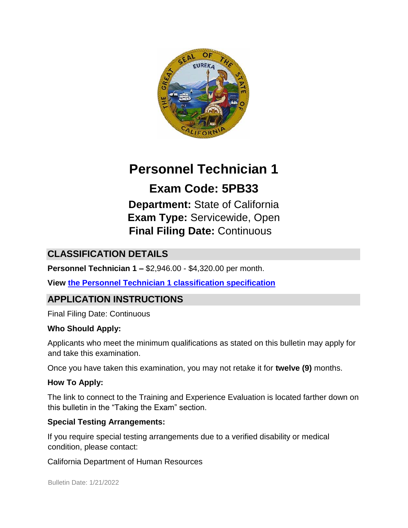

# **Personnel Technician 1**

**Exam Code: 5PB33 Department:** State of California **Exam Type:** Servicewide, Open **Final Filing Date:** Continuous

## **CLASSIFICATION DETAILS**

**Personnel Technician 1 –** \$2,946.00 - \$4,320.00 per month.

**View [the Personnel Technician 1 classification specification](http://www.calhr.ca.gov/state-hr-professionals/pages/5160.aspx)**

# **APPLICATION INSTRUCTIONS**

Final Filing Date: Continuous

#### **Who Should Apply:**

Applicants who meet the minimum qualifications as stated on this bulletin may apply for and take this examination.

Once you have taken this examination, you may not retake it for **twelve (9)** months.

#### **How To Apply:**

The link to connect to the Training and Experience Evaluation is located farther down on this bulletin in the "Taking the Exam" section.

#### **Special Testing Arrangements:**

If you require special testing arrangements due to a verified disability or medical condition, please contact:

California Department of Human Resources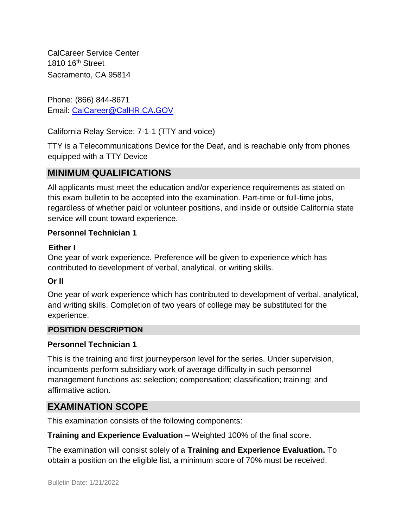CalCareer Service Center 1810 16<sup>th</sup> Street Sacramento, CA 95814

Phone: (866) 844-8671 Email: CalCareer@CalHR.CA.GOV

California Relay Service: 7-1-1 (TTY and voice)

TTY is a Telecommunications Device for the Deaf, and is reachable only from phones equipped with a TTY Device

# **MINIMUM QUALIFICATIONS**

All applicants must meet the education and/or experience requirements as stated on this exam bulletin to be accepted into the examination. Part-time or full-time jobs, regardless of whether paid or volunteer positions, and inside or outside California state service will count toward experience.

#### **Personnel Technician 1**

#### **Either I**

One year of work experience. Preference will be given to experience which has contributed to development of verbal, analytical, or writing skills.

#### **Or II**

One year of work experience which has contributed to development of verbal, analytical, and writing skills. Completion of two years of college may be substituted for the experience.

#### **POSITION DESCRIPTION**

#### **Personnel Technician 1**

This is the training and first journeyperson level for the series. Under supervision, incumbents perform subsidiary work of average difficulty in such personnel management functions as: selection; compensation; classification; training; and affirmative action.

## **EXAMINATION SCOPE**

This examination consists of the following components:

**Training and Experience Evaluation –** Weighted 100% of the final score.

The examination will consist solely of a **Training and Experience Evaluation.** To obtain a position on the eligible list, a minimum score of 70% must be received.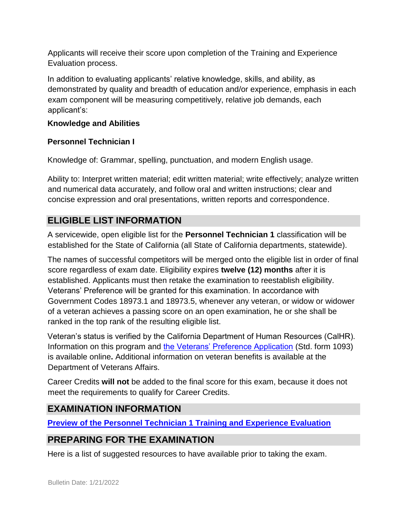Applicants will receive their score upon completion of the Training and Experience Evaluation process.

In addition to evaluating applicants' relative knowledge, skills, and ability, as demonstrated by quality and breadth of education and/or experience, emphasis in each exam component will be measuring competitively, relative job demands, each applicant's:

#### **Knowledge and Abilities**

#### **Personnel Technician I**

Knowledge of: Grammar, spelling, punctuation, and modern English usage.

Ability to: Interpret written material; edit written material; write effectively; analyze written and numerical data accurately, and follow oral and written instructions; clear and concise expression and oral presentations, written reports and correspondence.

# **ELIGIBLE LIST INFORMATION**

A servicewide, open eligible list for the **Personnel Technician 1** classification will be established for the State of California (all State of California departments, statewide).

The names of successful competitors will be merged onto the eligible list in order of final score regardless of exam date. Eligibility expires **twelve (12) months** after it is established. Applicants must then retake the examination to reestablish eligibility. Veterans' Preference will be granted for this examination. In accordance with Government Codes 18973.1 and 18973.5, whenever any veteran, or widow or widower of a veteran achieves a passing score on an open examination, he or she shall be ranked in the top rank of the resulting eligible list.

Veteran's status is verified by the California Department of Human Resources (CalHR). Information on this program and [the Veterans' Preference Application](https://www.jobs.ca.gov/CalHRPublic/Landing/Jobs/VeteransInformation.aspx) [\(](https://www.jobs.ca.gov/CalHRPublic/Landing/Jobs/VeteransInformation.aspx)Std. form 1093) is available online**.** Additional information on veteran benefits is available at the Department of Veterans Affairs.

Career Credits **will not** be added to the final score for this exam, because it does not meet the requirements to qualify for Career Credits.

## **EXAMINATION INFORMATION**

**[Preview of the Personnel Technician 1 Training and Experience Evaluation](https://jobs.ca.gov/JOBSGEN/5PB33d.pdf)**

# **PREPARING FOR THE EXAMINATION**

Here is a list of suggested resources to have available prior to taking the exam.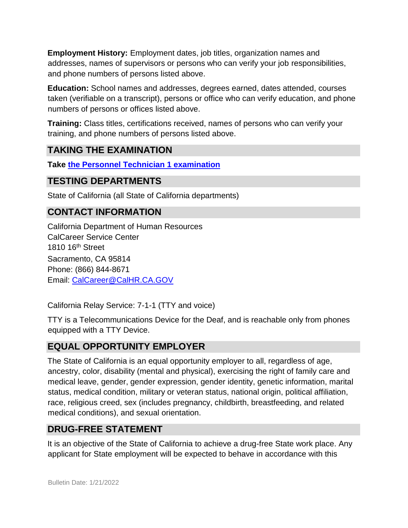**Employment History:** Employment dates, job titles, organization names and addresses, names of supervisors or persons who can verify your job responsibilities, and phone numbers of persons listed above.

**Education:** School names and addresses, degrees earned, dates attended, courses taken (verifiable on a transcript), persons or office who can verify education, and phone numbers of persons or offices listed above.

**Training:** Class titles, certifications received, names of persons who can verify your training, and phone numbers of persons listed above.

## **TAKING THE EXAMINATION**

**Take [the Personnel Technician 1 examination](https://exams.spb.ca.gov/exams/ptech1/)**

#### **TESTING DEPARTMENTS**

State of California (all State of California departments)

## **CONTACT INFORMATION**

California Department of Human Resources CalCareer Service Center 1810 16<sup>th</sup> Street Sacramento, CA 95814 Phone: (866) 844-8671 Email: CalCareer@CalHR.CA.GOV

California Relay Service: 7-1-1 (TTY and voice)

TTY is a Telecommunications Device for the Deaf, and is reachable only from phones equipped with a TTY Device.

## **EQUAL OPPORTUNITY EMPLOYER**

The State of California is an equal opportunity employer to all, regardless of age, ancestry, color, disability (mental and physical), exercising the right of family care and medical leave, gender, gender expression, gender identity, genetic information, marital status, medical condition, military or veteran status, national origin, political affiliation, race, religious creed, sex (includes pregnancy, childbirth, breastfeeding, and related medical conditions), and sexual orientation.

#### **DRUG-FREE STATEMENT**

It is an objective of the State of California to achieve a drug-free State work place. Any applicant for State employment will be expected to behave in accordance with this